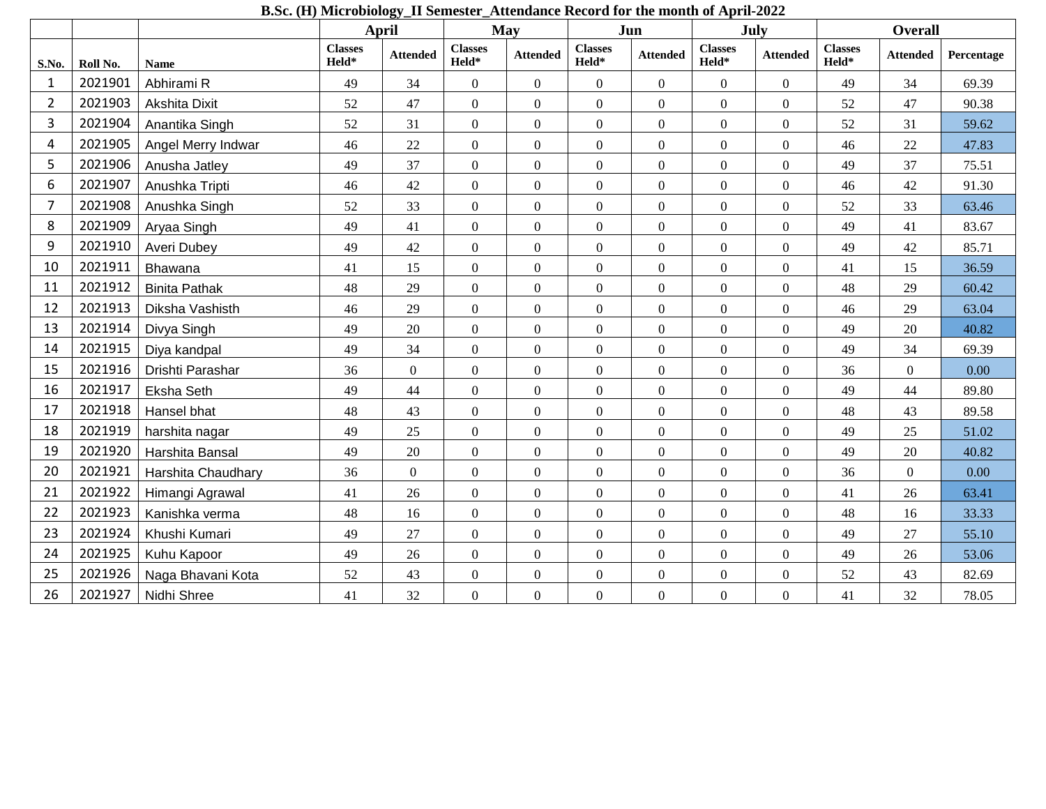|                         |          |                      | D.St. (11) MICHODIOIOGY_11 SCHIESTEL_ATTERIQUICE NECOLU TOL THE HIOHTH OF APHIF-2022<br>May<br>April |                 |                         |                  | Jun                     | July             | <b>Overall</b>          |                  |                         |                 |            |
|-------------------------|----------|----------------------|------------------------------------------------------------------------------------------------------|-----------------|-------------------------|------------------|-------------------------|------------------|-------------------------|------------------|-------------------------|-----------------|------------|
| S.No.                   | Roll No. | <b>Name</b>          | <b>Classes</b><br>Held*                                                                              | <b>Attended</b> | <b>Classes</b><br>Held* | <b>Attended</b>  | <b>Classes</b><br>Held* | <b>Attended</b>  | <b>Classes</b><br>Held* | <b>Attended</b>  | <b>Classes</b><br>Held* | <b>Attended</b> | Percentage |
| $\mathbf{1}$            | 2021901  | Abhirami R           | 49                                                                                                   | 34              | $\overline{0}$          | $\mathbf{0}$     | $\boldsymbol{0}$        | $\overline{0}$   | $\overline{0}$          | $\mathbf{0}$     | 49                      | 34              | 69.39      |
| $\overline{2}$          | 2021903  | Akshita Dixit        | 52                                                                                                   | 47              | $\overline{0}$          | $\boldsymbol{0}$ | $\boldsymbol{0}$        | $\boldsymbol{0}$ | $\overline{0}$          | $\boldsymbol{0}$ | 52                      | 47              | 90.38      |
| 3                       | 2021904  | Anantika Singh       | 52                                                                                                   | 31              | $\boldsymbol{0}$        | $\boldsymbol{0}$ | $\boldsymbol{0}$        | $\overline{0}$   | $\overline{0}$          | $\boldsymbol{0}$ | 52                      | 31              | 59.62      |
| $\overline{\mathbf{4}}$ | 2021905  | Angel Merry Indwar   | 46                                                                                                   | 22              | $\overline{0}$          | $\overline{0}$   | $\overline{0}$          | $\overline{0}$   | $\overline{0}$          | $\overline{0}$   | 46                      | 22              | 47.83      |
| 5                       | 2021906  | Anusha Jatley        | 49                                                                                                   | 37              | $\overline{0}$          | $\boldsymbol{0}$ | $\boldsymbol{0}$        | $\overline{0}$   | $\overline{0}$          | $\boldsymbol{0}$ | 49                      | 37              | 75.51      |
| 6                       | 2021907  | Anushka Tripti       | 46                                                                                                   | 42              | $\boldsymbol{0}$        | $\mathbf{0}$     | $\overline{0}$          | $\overline{0}$   | $\overline{0}$          | $\mathbf{0}$     | 46                      | 42              | 91.30      |
| $\overline{7}$          | 2021908  | Anushka Singh        | 52                                                                                                   | 33              | $\overline{0}$          | $\boldsymbol{0}$ | $\boldsymbol{0}$        | $\boldsymbol{0}$ | $\overline{0}$          | $\boldsymbol{0}$ | 52                      | 33              | 63.46      |
| 8                       | 2021909  | Aryaa Singh          | 49                                                                                                   | 41              | $\overline{0}$          | $\boldsymbol{0}$ | $\boldsymbol{0}$        | $\boldsymbol{0}$ | $\overline{0}$          | $\boldsymbol{0}$ | 49                      | 41              | 83.67      |
| 9                       | 2021910  | <b>Averi Dubey</b>   | 49                                                                                                   | 42              | $\overline{0}$          | $\theta$         | $\boldsymbol{0}$        | $\overline{0}$   | $\overline{0}$          | $\mathbf{0}$     | 49                      | 42              | 85.71      |
| 10                      | 2021911  | Bhawana              | 41                                                                                                   | 15              | $\overline{0}$          | $\boldsymbol{0}$ | $\boldsymbol{0}$        | $\overline{0}$   | $\overline{0}$          | $\boldsymbol{0}$ | 41                      | 15              | 36.59      |
| 11                      | 2021912  | <b>Binita Pathak</b> | 48                                                                                                   | 29              | $\overline{0}$          | $\mathbf{0}$     | $\overline{0}$          | $\overline{0}$   | $\overline{0}$          | $\mathbf{0}$     | 48                      | 29              | 60.42      |
| 12                      | 2021913  | Diksha Vashisth      | 46                                                                                                   | 29              | $\overline{0}$          | $\mathbf{0}$     | $\boldsymbol{0}$        | $\overline{0}$   | $\overline{0}$          | $\boldsymbol{0}$ | 46                      | 29              | 63.04      |
| 13                      | 2021914  | Divya Singh          | 49                                                                                                   | 20              | $\overline{0}$          | $\boldsymbol{0}$ | $\boldsymbol{0}$        | $\boldsymbol{0}$ | $\overline{0}$          | $\boldsymbol{0}$ | 49                      | 20              | 40.82      |
| 14                      | 2021915  | Diya kandpal         | 49                                                                                                   | 34              | $\boldsymbol{0}$        | $\mathbf{0}$     | $\boldsymbol{0}$        | $\overline{0}$   | $\overline{0}$          | $\boldsymbol{0}$ | 49                      | 34              | 69.39      |
| 15                      | 2021916  | Drishti Parashar     | 36                                                                                                   | $\overline{0}$  | $\overline{0}$          | $\Omega$         | $\boldsymbol{0}$        | $\boldsymbol{0}$ | $\Omega$                | $\boldsymbol{0}$ | 36                      | $\Omega$        | 0.00       |
| 16                      | 2021917  | Eksha Seth           | 49                                                                                                   | 44              | $\overline{0}$          | $\mathbf{0}$     | $\overline{0}$          | $\overline{0}$   | $\overline{0}$          | $\mathbf{0}$     | 49                      | 44              | 89.80      |
| 17                      | 2021918  | Hansel bhat          | 48                                                                                                   | 43              | $\overline{0}$          | $\mathbf{0}$     | $\boldsymbol{0}$        | $\overline{0}$   | $\overline{0}$          | $\boldsymbol{0}$ | 48                      | 43              | 89.58      |
| 18                      | 2021919  | harshita nagar       | 49                                                                                                   | 25              | $\boldsymbol{0}$        | $\mathbf{0}$     | $\boldsymbol{0}$        | $\boldsymbol{0}$ | $\overline{0}$          | $\boldsymbol{0}$ | 49                      | 25              | 51.02      |
| 19                      | 2021920  | Harshita Bansal      | 49                                                                                                   | 20              | $\overline{0}$          | $\mathbf{0}$     | $\overline{0}$          | $\overline{0}$   | $\overline{0}$          | $\boldsymbol{0}$ | 49                      | 20              | 40.82      |
| 20                      | 2021921  | Harshita Chaudhary   | 36                                                                                                   | $\mathbf{0}$    | $\overline{0}$          | $\boldsymbol{0}$ | $\boldsymbol{0}$        | $\boldsymbol{0}$ | $\overline{0}$          | $\boldsymbol{0}$ | 36                      | $\overline{0}$  | 0.00       |
| 21                      | 2021922  | Himangi Agrawal      | 41                                                                                                   | 26              | $\overline{0}$          | $\overline{0}$   | $\overline{0}$          | $\overline{0}$   | $\overline{0}$          | $\overline{0}$   | 41                      | 26              | 63.41      |
| 22                      | 2021923  | Kanishka verma       | 48                                                                                                   | 16              | $\overline{0}$          | $\boldsymbol{0}$ | $\boldsymbol{0}$        | $\overline{0}$   | $\overline{0}$          | $\boldsymbol{0}$ | 48                      | 16              | 33.33      |
| 23                      | 2021924  | Khushi Kumari        | 49                                                                                                   | 27              | $\overline{0}$          | $\mathbf{0}$     | $\overline{0}$          | $\overline{0}$   | $\overline{0}$          | $\boldsymbol{0}$ | 49                      | 27              | 55.10      |
| 24                      | 2021925  | Kuhu Kapoor          | 49                                                                                                   | 26              | $\boldsymbol{0}$        | $\mathbf{0}$     | $\boldsymbol{0}$        | $\overline{0}$   | $\overline{0}$          | $\boldsymbol{0}$ | 49                      | 26              | 53.06      |
| 25                      | 2021926  | Naga Bhavani Kota    | 52                                                                                                   | 43              | $\boldsymbol{0}$        | $\mathbf{0}$     | $\boldsymbol{0}$        | $\boldsymbol{0}$ | $\overline{0}$          | $\boldsymbol{0}$ | $52\,$                  | 43              | 82.69      |
| 26                      | 2021927  | Nidhi Shree          | 41                                                                                                   | 32              | $\overline{0}$          | $\mathbf{0}$     | $\overline{0}$          | $\overline{0}$   | $\overline{0}$          | $\overline{0}$   | 41                      | 32              | 78.05      |

**B.Sc. (H) Microbiology\_II Semester\_Attendance Record for the month of April-2022**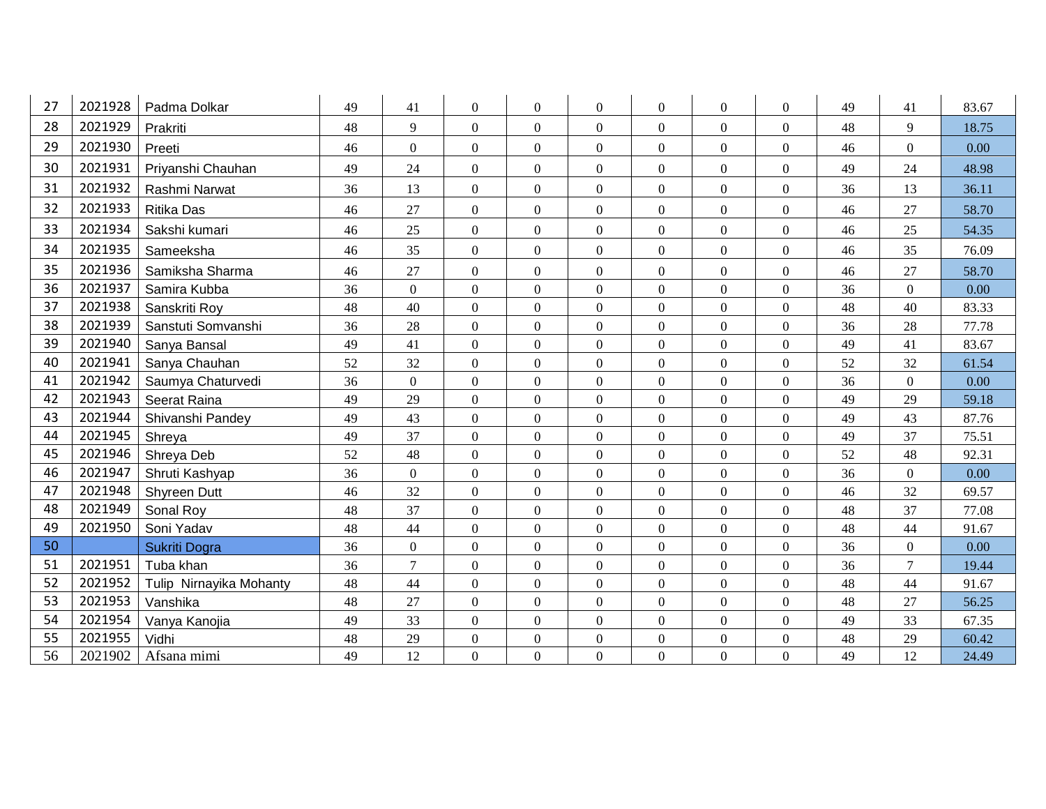| 27 | 2021928 | Padma Dolkar            | 49 | 41             | $\overline{0}$   | $\boldsymbol{0}$ | $\overline{0}$   | $\Omega$         | $\boldsymbol{0}$ | $\mathbf{0}$     | 49 | 41               | 83.67 |
|----|---------|-------------------------|----|----------------|------------------|------------------|------------------|------------------|------------------|------------------|----|------------------|-------|
| 28 | 2021929 | Prakriti                | 48 | 9              | $\overline{0}$   | $\overline{0}$   | $\overline{0}$   | $\Omega$         | $\boldsymbol{0}$ | $\overline{0}$   | 48 | 9                | 18.75 |
| 29 | 2021930 | Preeti                  | 46 | $\Omega$       | $\overline{0}$   | $\boldsymbol{0}$ | $\overline{0}$   | $\Omega$         | $\boldsymbol{0}$ | $\mathbf{0}$     | 46 | $\mathbf{0}$     | 0.00  |
| 30 | 2021931 | Priyanshi Chauhan       | 49 | 24             | $\overline{0}$   | $\overline{0}$   | $\overline{0}$   | $\Omega$         | $\mathbf{0}$     | $\overline{0}$   | 49 | 24               | 48.98 |
| 31 | 2021932 | Rashmi Narwat           | 36 | 13             | $\overline{0}$   | $\boldsymbol{0}$ | $\overline{0}$   | $\Omega$         | $\overline{0}$   | $\mathbf{0}$     | 36 | 13               | 36.11 |
| 32 | 2021933 | <b>Ritika Das</b>       | 46 | 27             | $\mathbf{0}$     | $\overline{0}$   | $\Omega$         | $\Omega$         | $\boldsymbol{0}$ | $\overline{0}$   | 46 | 27               | 58.70 |
| 33 | 2021934 | Sakshi kumari           | 46 | 25             | $\overline{0}$   | $\boldsymbol{0}$ | $\overline{0}$   | $\theta$         | $\boldsymbol{0}$ | $\mathbf{0}$     | 46 | 25               | 54.35 |
| 34 | 2021935 | Sameeksha               | 46 | 35             | $\mathbf{0}$     | $\overline{0}$   | $\overline{0}$   | $\Omega$         | $\boldsymbol{0}$ | $\overline{0}$   | 46 | 35               | 76.09 |
| 35 | 2021936 | Samiksha Sharma         | 46 | 27             | $\boldsymbol{0}$ | $\boldsymbol{0}$ | $\boldsymbol{0}$ | $\mathbf{0}$     | $\boldsymbol{0}$ | $\mathbf{0}$     | 46 | 27               | 58.70 |
| 36 | 2021937 | Samira Kubba            | 36 | $\overline{0}$ | $\overline{0}$   | $\overline{0}$   | $\overline{0}$   | $\Omega$         | $\mathbf{0}$     | $\overline{0}$   | 36 | $\overline{0}$   | 0.00  |
| 37 | 2021938 | Sanskriti Roy           | 48 | 40             | $\boldsymbol{0}$ | $\mathbf{0}$     | $\overline{0}$   | $\Omega$         | $\boldsymbol{0}$ | $\overline{0}$   | 48 | 40               | 83.33 |
| 38 | 2021939 | Sanstuti Somvanshi      | 36 | 28             | $\boldsymbol{0}$ | $\overline{0}$   | $\overline{0}$   | $\boldsymbol{0}$ | $\boldsymbol{0}$ | $\boldsymbol{0}$ | 36 | 28               | 77.78 |
| 39 | 2021940 | Sanya Bansal            | 49 | 41             | $\overline{0}$   | $\mathbf{0}$     | $\overline{0}$   | $\Omega$         | $\mathbf{0}$     | $\overline{0}$   | 49 | 41               | 83.67 |
| 40 | 2021941 | Sanya Chauhan           | 52 | 32             | $\boldsymbol{0}$ | $\boldsymbol{0}$ | $\overline{0}$   | $\Omega$         | $\boldsymbol{0}$ | $\boldsymbol{0}$ | 52 | 32               | 61.54 |
| 41 | 2021942 | Saumya Chaturvedi       | 36 | $\overline{0}$ | $\Omega$         | $\overline{0}$   | $\Omega$         | $\Omega$         | $\mathbf{0}$     | $\Omega$         | 36 | $\mathbf{0}$     | 0.00  |
| 42 | 2021943 | Seerat Raina            | 49 | 29             | $\overline{0}$   | $\boldsymbol{0}$ | $\overline{0}$   | $\theta$         | $\boldsymbol{0}$ | $\overline{0}$   | 49 | 29               | 59.18 |
| 43 | 2021944 | Shivanshi Pandey        | 49 | 43             | $\overline{0}$   | $\boldsymbol{0}$ | $\overline{0}$   | $\overline{0}$   | $\boldsymbol{0}$ | $\overline{0}$   | 49 | 43               | 87.76 |
| 44 | 2021945 | Shreya                  | 49 | 37             | $\overline{0}$   | $\overline{0}$   | $\overline{0}$   | $\Omega$         | $\mathbf{0}$     | $\overline{0}$   | 49 | 37               | 75.51 |
| 45 | 2021946 | Shreya Deb              | 52 | 48             | $\overline{0}$   | $\boldsymbol{0}$ | $\Omega$         | $\Omega$         | $\boldsymbol{0}$ | $\boldsymbol{0}$ | 52 | 48               | 92.31 |
| 46 | 2021947 | Shruti Kashyap          | 36 | $\overline{0}$ | $\overline{0}$   | $\boldsymbol{0}$ | $\overline{0}$   | $\overline{0}$   | $\mathbf{0}$     | $\overline{0}$   | 36 | $\mathbf{0}$     | 0.00  |
| 47 | 2021948 | Shyreen Dutt            | 46 | 32             | $\boldsymbol{0}$ | $\mathbf{0}$     | $\overline{0}$   | $\theta$         | $\boldsymbol{0}$ | $\overline{0}$   | 46 | 32               | 69.57 |
| 48 | 2021949 | Sonal Roy               | 48 | 37             | $\boldsymbol{0}$ | $\mathbf{0}$     | $\overline{0}$   | $\Omega$         | $\boldsymbol{0}$ | $\boldsymbol{0}$ | 48 | 37               | 77.08 |
| 49 | 2021950 | Soni Yadav              | 48 | 44             | $\overline{0}$   | $\overline{0}$   | $\overline{0}$   | $\Omega$         | $\mathbf{0}$     | $\overline{0}$   | 48 | 44               | 91.67 |
| 50 |         | Sukriti Dogra           | 36 | $\Omega$       | $\overline{0}$   | $\overline{0}$   | $\overline{0}$   | $\Omega$         | $\boldsymbol{0}$ | $\overline{0}$   | 36 | $\boldsymbol{0}$ | 0.00  |
| 51 | 2021951 | Tuba khan               | 36 | $\overline{7}$ | $\overline{0}$   | $\overline{0}$   | $\overline{0}$   | $\overline{0}$   | $\mathbf{0}$     | $\overline{0}$   | 36 | $\overline{7}$   | 19.44 |
| 52 | 2021952 | Tulip Nirnayika Mohanty | 48 | 44             | $\boldsymbol{0}$ | $\overline{0}$   | $\overline{0}$   | $\Omega$         | $\boldsymbol{0}$ | $\overline{0}$   | 48 | 44               | 91.67 |
| 53 | 2021953 | Vanshika                | 48 | 27             | $\overline{0}$   | $\boldsymbol{0}$ | $\boldsymbol{0}$ | $\Omega$         | $\boldsymbol{0}$ | $\overline{0}$   | 48 | 27               | 56.25 |
| 54 | 2021954 | Vanya Kanojia           | 49 | 33             | $\mathbf{0}$     | $\overline{0}$   | $\overline{0}$   | $\boldsymbol{0}$ | $\mathbf{0}$     | $\overline{0}$   | 49 | 33               | 67.35 |
| 55 | 2021955 | Vidhi                   | 48 | 29             | $\boldsymbol{0}$ | $\boldsymbol{0}$ | $\overline{0}$   | $\mathbf{0}$     | $\boldsymbol{0}$ | $\mathbf{0}$     | 48 | 29               | 60.42 |
| 56 | 2021902 | Afsana mimi             | 49 | 12             | $\mathbf{0}$     | $\overline{0}$   | $\overline{0}$   | $\Omega$         | $\mathbf{0}$     | $\overline{0}$   | 49 | 12               | 24.49 |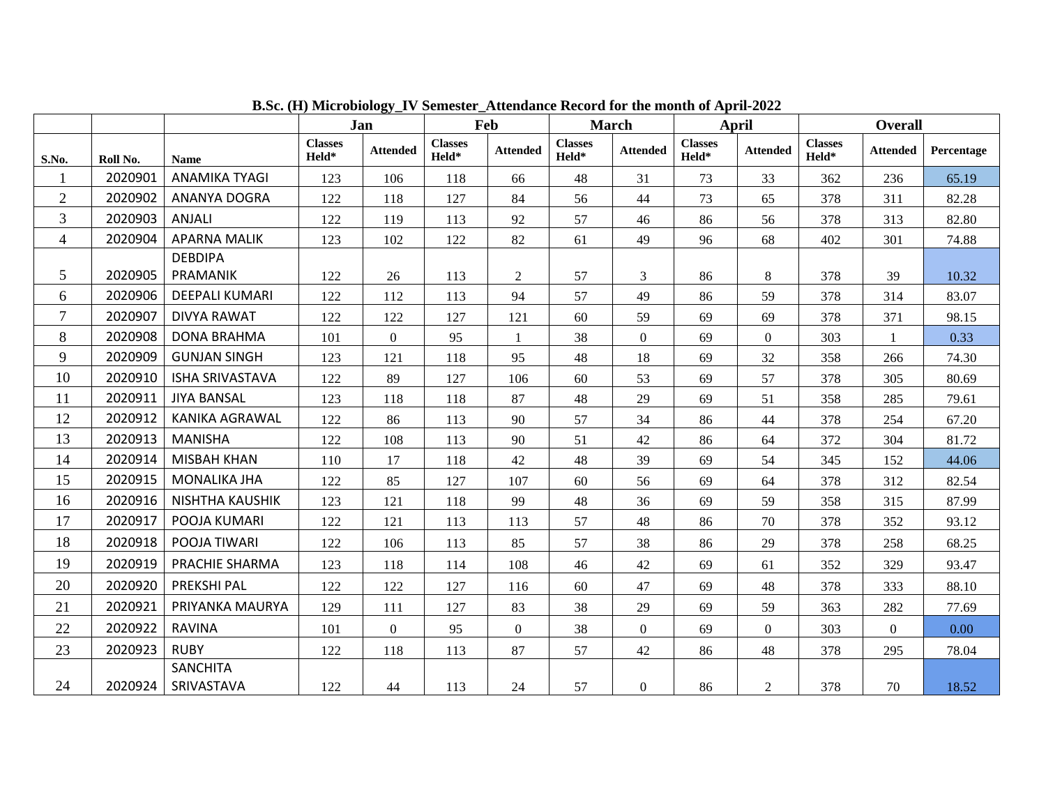|                |          |                               |                         | Jan             | Feb                     |                 |                         | <b>March</b>    |                         | April           |                         | <b>Overall</b>   |            |
|----------------|----------|-------------------------------|-------------------------|-----------------|-------------------------|-----------------|-------------------------|-----------------|-------------------------|-----------------|-------------------------|------------------|------------|
| S.No.          | Roll No. | <b>Name</b>                   | <b>Classes</b><br>Held* | <b>Attended</b> | <b>Classes</b><br>Held* | <b>Attended</b> | <b>Classes</b><br>Held* | <b>Attended</b> | <b>Classes</b><br>Held* | <b>Attended</b> | <b>Classes</b><br>Held* | <b>Attended</b>  | Percentage |
| $\mathbf{1}$   | 2020901  | <b>ANAMIKA TYAGI</b>          | 123                     | 106             | 118                     | 66              | 48                      | 31              | 73                      | 33              | 362                     | 236              | 65.19      |
| $\overline{2}$ | 2020902  | ANANYA DOGRA                  | 122                     | 118             | 127                     | 84              | 56                      | 44              | 73                      | 65              | 378                     | 311              | 82.28      |
| 3              | 2020903  | <b>ANJALI</b>                 | 122                     | 119             | 113                     | 92              | 57                      | 46              | 86                      | 56              | 378                     | 313              | 82.80      |
| $\overline{4}$ | 2020904  | <b>APARNA MALIK</b>           | 123                     | 102             | 122                     | 82              | 61                      | 49              | 96                      | 68              | 402                     | 301              | 74.88      |
| 5              | 2020905  | <b>DEBDIPA</b><br>PRAMANIK    | 122                     | 26              | 113                     | 2               | 57                      | $\overline{3}$  | 86                      | 8               | 378                     | 39               | 10.32      |
| 6              | 2020906  | DEEPALI KUMARI                | 122                     | 112             | 113                     | 94              | 57                      | 49              | 86                      | 59              | 378                     | 314              | 83.07      |
| $\overline{7}$ | 2020907  | <b>DIVYA RAWAT</b>            | 122                     | 122             | 127                     | 121             | 60                      | 59              | 69                      | 69              | 378                     | 371              | 98.15      |
| 8              | 2020908  | <b>DONA BRAHMA</b>            | 101                     | $\Omega$        | 95                      | $\mathbf{1}$    | 38                      | $\overline{0}$  | 69                      | $\overline{0}$  | 303                     | $\mathbf{1}$     | 0.33       |
| 9              | 2020909  | <b>GUNJAN SINGH</b>           | 123                     | 121             | 118                     | 95              | 48                      | 18              | 69                      | 32              | 358                     | 266              | 74.30      |
| 10             | 2020910  | <b>ISHA SRIVASTAVA</b>        | 122                     | 89              | 127                     | 106             | 60                      | 53              | 69                      | 57              | 378                     | 305              | 80.69      |
| 11             | 2020911  | <b>JIYA BANSAL</b>            | 123                     | 118             | 118                     | 87              | 48                      | 29              | 69                      | 51              | 358                     | 285              | 79.61      |
| 12             | 2020912  | KANIKA AGRAWAL                | 122                     | 86              | 113                     | 90              | 57                      | 34              | 86                      | 44              | 378                     | 254              | 67.20      |
| 13             | 2020913  | <b>MANISHA</b>                | 122                     | 108             | 113                     | 90              | 51                      | 42              | 86                      | 64              | 372                     | 304              | 81.72      |
| 14             | 2020914  | <b>MISBAH KHAN</b>            | 110                     | 17              | 118                     | 42              | 48                      | 39              | 69                      | 54              | 345                     | 152              | 44.06      |
| 15             | 2020915  | <b>MONALIKA JHA</b>           | 122                     | 85              | 127                     | 107             | 60                      | 56              | 69                      | 64              | 378                     | 312              | 82.54      |
| 16             | 2020916  | <b>NISHTHA KAUSHIK</b>        | 123                     | 121             | 118                     | 99              | 48                      | 36              | 69                      | 59              | 358                     | 315              | 87.99      |
| 17             | 2020917  | POOJA KUMARI                  | 122                     | 121             | 113                     | 113             | 57                      | 48              | 86                      | 70              | 378                     | 352              | 93.12      |
| 18             | 2020918  | POOJA TIWARI                  | 122                     | 106             | 113                     | 85              | 57                      | 38              | 86                      | 29              | 378                     | 258              | 68.25      |
| 19             | 2020919  | PRACHIE SHARMA                | 123                     | 118             | 114                     | 108             | 46                      | 42              | 69                      | 61              | 352                     | 329              | 93.47      |
| 20             | 2020920  | <b>PREKSHI PAL</b>            | 122                     | 122             | 127                     | 116             | 60                      | 47              | 69                      | 48              | 378                     | 333              | 88.10      |
| 21             | 2020921  | PRIYANKA MAURYA               | 129                     | 111             | 127                     | 83              | 38                      | 29              | 69                      | 59              | 363                     | 282              | 77.69      |
| 22             | 2020922  | <b>RAVINA</b>                 | 101                     | $\overline{0}$  | 95                      | $\mathbf{0}$    | 38                      | $\overline{0}$  | 69                      | $\overline{0}$  | 303                     | $\boldsymbol{0}$ | 0.00       |
| 23             | 2020923  | <b>RUBY</b>                   | 122                     | 118             | 113                     | 87              | 57                      | 42              | 86                      | 48              | 378                     | 295              | 78.04      |
| 24             | 2020924  | <b>SANCHITA</b><br>SRIVASTAVA | 122                     | 44              | 113                     | 24              | 57                      | $\overline{0}$  | 86                      | $\overline{2}$  | 378                     | 70               | 18.52      |

**B.Sc. (H) Microbiology\_IV Semester\_Attendance Record for the month of April-2022**